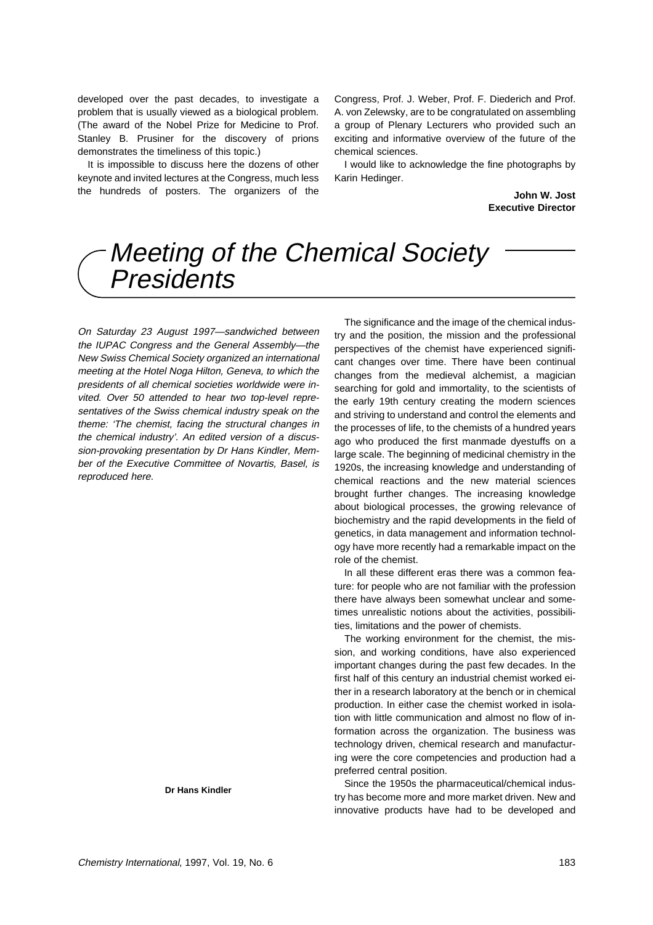# Meeting of the Chemical Society **Presidents**

On Saturday 23 August 1997—sandwiched between the IUPAC Congress and the General Assembly—the New Swiss Chemical Society organized an international meeting at the Hotel Noga Hilton, Geneva, to which the presidents of all chemical societies worldwide were invited. Over 50 attended to hear two top-level representatives of the Swiss chemical industry speak on the theme: 'The chemist, facing the structural changes in the chemical industry'. An edited version of a discussion-provoking presentation by Dr Hans Kindler, Member of the Executive Committee of Novartis, Basel, is reproduced here.

**Dr Hans Kindler**

The significance and the image of the chemical industry and the position, the mission and the professional perspectives of the chemist have experienced significant changes over time. There have been continual changes from the medieval alchemist, a magician searching for gold and immortality, to the scientists of the early 19th century creating the modern sciences and striving to understand and control the elements and the processes of life, to the chemists of a hundred years ago who produced the first manmade dyestuffs on a large scale. The beginning of medicinal chemistry in the 1920s, the increasing knowledge and understanding of chemical reactions and the new material sciences brought further changes. The increasing knowledge about biological processes, the growing relevance of biochemistry and the rapid developments in the field of genetics, in data management and information technology have more recently had a remarkable impact on the role of the chemist.

In all these different eras there was a common feature: for people who are not familiar with the profession there have always been somewhat unclear and sometimes unrealistic notions about the activities, possibilities, limitations and the power of chemists.

The working environment for the chemist, the mission, and working conditions, have also experienced important changes during the past few decades. In the first half of this century an industrial chemist worked either in a research laboratory at the bench or in chemical production. In either case the chemist worked in isolation with little communication and almost no flow of information across the organization. The business was technology driven, chemical research and manufacturing were the core competencies and production had a preferred central position.

Since the 1950s the pharmaceutical/chemical industry has become more and more market driven. New and innovative products have had to be developed and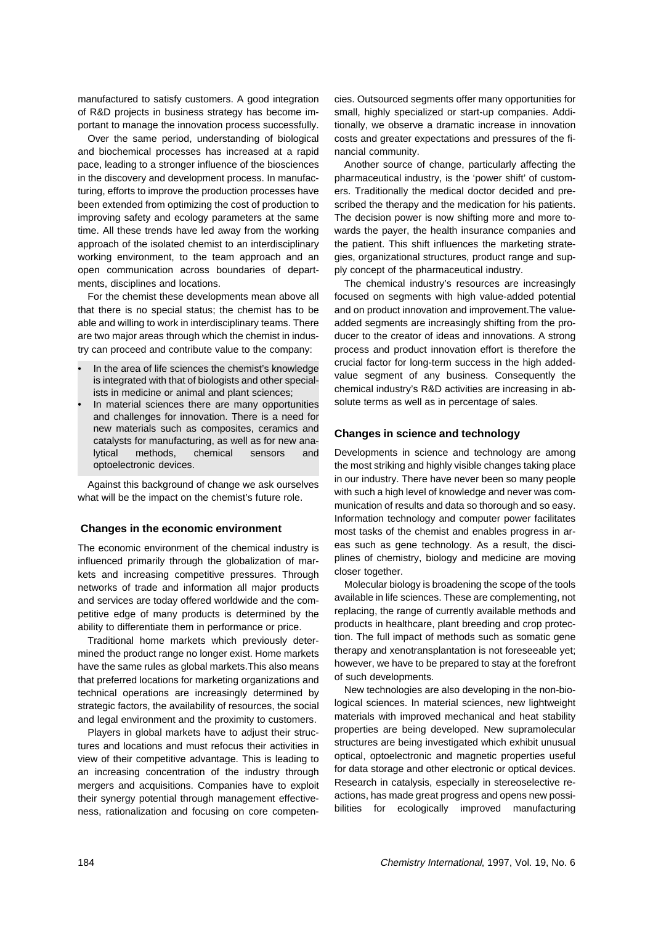manufactured to satisfy customers. A good integration of R&D projects in business strategy has become important to manage the innovation process successfully.

Over the same period, understanding of biological and biochemical processes has increased at a rapid pace, leading to a stronger influence of the biosciences in the discovery and development process. In manufacturing, efforts to improve the production processes have been extended from optimizing the cost of production to improving safety and ecology parameters at the same time. All these trends have led away from the working approach of the isolated chemist to an interdisciplinary working environment, to the team approach and an open communication across boundaries of departments, disciplines and locations.

For the chemist these developments mean above all that there is no special status; the chemist has to be able and willing to work in interdisciplinary teams. There are two major areas through which the chemist in industry can proceed and contribute value to the company:

- In the area of life sciences the chemist's knowledge is integrated with that of biologists and other specialists in medicine or animal and plant sciences;
- In material sciences there are many opportunities and challenges for innovation. There is a need for new materials such as composites, ceramics and catalysts for manufacturing, as well as for new analytical methods, chemical sensors and optoelectronic devices.

Against this background of change we ask ourselves what will be the impact on the chemist's future role.

#### **Changes in the economic environment**

The economic environment of the chemical industry is influenced primarily through the globalization of markets and increasing competitive pressures. Through networks of trade and information all major products and services are today offered worldwide and the competitive edge of many products is determined by the ability to differentiate them in performance or price.

Traditional home markets which previously determined the product range no longer exist. Home markets have the same rules as global markets.This also means that preferred locations for marketing organizations and technical operations are increasingly determined by strategic factors, the availability of resources, the social and legal environment and the proximity to customers.

Players in global markets have to adjust their structures and locations and must refocus their activities in view of their competitive advantage. This is leading to an increasing concentration of the industry through mergers and acquisitions. Companies have to exploit their synergy potential through management effectiveness, rationalization and focusing on core competen-

cies. Outsourced segments offer many opportunities for small, highly specialized or start-up companies. Additionally, we observe a dramatic increase in innovation costs and greater expectations and pressures of the financial community.

Another source of change, particularly affecting the pharmaceutical industry, is the 'power shift' of customers. Traditionally the medical doctor decided and prescribed the therapy and the medication for his patients. The decision power is now shifting more and more towards the payer, the health insurance companies and the patient. This shift influences the marketing strategies, organizational structures, product range and supply concept of the pharmaceutical industry.

The chemical industry's resources are increasingly focused on segments with high value-added potential and on product innovation and improvement.The valueadded segments are increasingly shifting from the producer to the creator of ideas and innovations. A strong process and product innovation effort is therefore the crucial factor for long-term success in the high addedvalue segment of any business. Consequently the chemical industry's R&D activities are increasing in absolute terms as well as in percentage of sales.

## **Changes in science and technology**

Developments in science and technology are among the most striking and highly visible changes taking place in our industry. There have never been so many people with such a high level of knowledge and never was communication of results and data so thorough and so easy. Information technology and computer power facilitates most tasks of the chemist and enables progress in areas such as gene technology. As a result, the disciplines of chemistry, biology and medicine are moving closer together.

Molecular biology is broadening the scope of the tools available in life sciences. These are complementing, not replacing, the range of currently available methods and products in healthcare, plant breeding and crop protection. The full impact of methods such as somatic gene therapy and xenotransplantation is not foreseeable yet; however, we have to be prepared to stay at the forefront of such developments.

New technologies are also developing in the non-biological sciences. In material sciences, new lightweight materials with improved mechanical and heat stability properties are being developed. New supramolecular structures are being investigated which exhibit unusual optical, optoelectronic and magnetic properties useful for data storage and other electronic or optical devices. Research in catalysis, especially in stereoselective reactions, has made great progress and opens new possibilities for ecologically improved manufacturing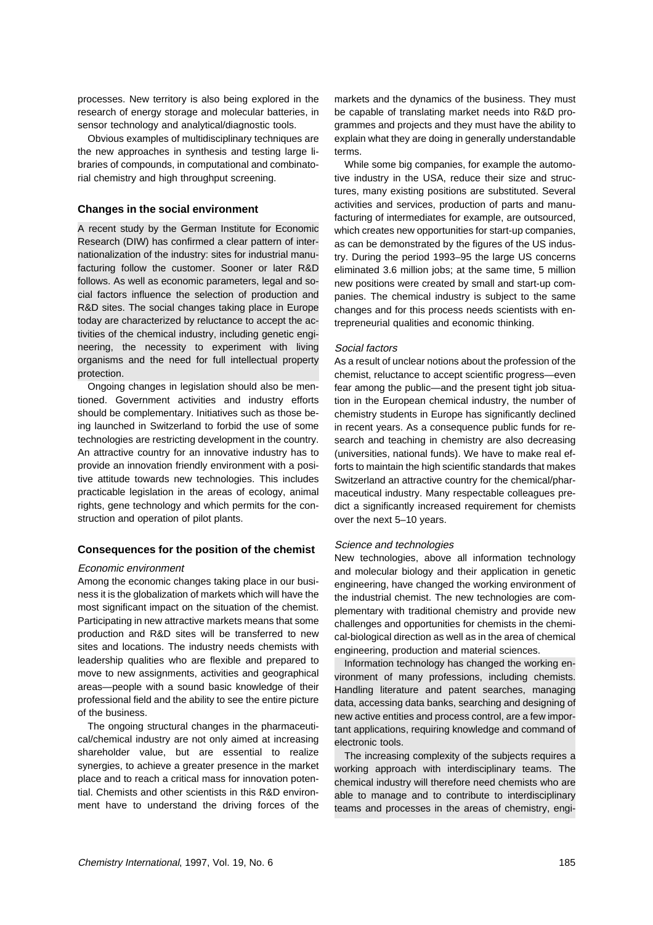processes. New territory is also being explored in the research of energy storage and molecular batteries, in sensor technology and analytical/diagnostic tools.

Obvious examples of multidisciplinary techniques are the new approaches in synthesis and testing large libraries of compounds, in computational and combinatorial chemistry and high throughput screening.

## **Changes in the social environment**

A recent study by the German Institute for Economic Research (DIW) has confirmed a clear pattern of internationalization of the industry: sites for industrial manufacturing follow the customer. Sooner or later R&D follows. As well as economic parameters, legal and social factors influence the selection of production and R&D sites. The social changes taking place in Europe today are characterized by reluctance to accept the activities of the chemical industry, including genetic engineering, the necessity to experiment with living organisms and the need for full intellectual property protection.

Ongoing changes in legislation should also be mentioned. Government activities and industry efforts should be complementary. Initiatives such as those being launched in Switzerland to forbid the use of some technologies are restricting development in the country. An attractive country for an innovative industry has to provide an innovation friendly environment with a positive attitude towards new technologies. This includes practicable legislation in the areas of ecology, animal rights, gene technology and which permits for the construction and operation of pilot plants.

## **Consequences for the position of the chemist**

#### Economic environment

Among the economic changes taking place in our business it is the globalization of markets which will have the most significant impact on the situation of the chemist. Participating in new attractive markets means that some production and R&D sites will be transferred to new sites and locations. The industry needs chemists with leadership qualities who are flexible and prepared to move to new assignments, activities and geographical areas—people with a sound basic knowledge of their professional field and the ability to see the entire picture of the business.

The ongoing structural changes in the pharmaceutical/chemical industry are not only aimed at increasing shareholder value, but are essential to realize synergies, to achieve a greater presence in the market place and to reach a critical mass for innovation potential. Chemists and other scientists in this R&D environment have to understand the driving forces of the

markets and the dynamics of the business. They must be capable of translating market needs into R&D programmes and projects and they must have the ability to explain what they are doing in generally understandable terms.

While some big companies, for example the automotive industry in the USA, reduce their size and structures, many existing positions are substituted. Several activities and services, production of parts and manufacturing of intermediates for example, are outsourced, which creates new opportunities for start-up companies, as can be demonstrated by the figures of the US industry. During the period 1993–95 the large US concerns eliminated 3.6 million jobs; at the same time, 5 million new positions were created by small and start-up companies. The chemical industry is subject to the same changes and for this process needs scientists with entrepreneurial qualities and economic thinking.

## Social factors

As a result of unclear notions about the profession of the chemist, reluctance to accept scientific progress—even fear among the public—and the present tight job situation in the European chemical industry, the number of chemistry students in Europe has significantly declined in recent years. As a consequence public funds for research and teaching in chemistry are also decreasing (universities, national funds). We have to make real efforts to maintain the high scientific standards that makes Switzerland an attractive country for the chemical/pharmaceutical industry. Many respectable colleagues predict a significantly increased requirement for chemists over the next 5–10 years.

## Science and technologies

New technologies, above all information technology and molecular biology and their application in genetic engineering, have changed the working environment of the industrial chemist. The new technologies are complementary with traditional chemistry and provide new challenges and opportunities for chemists in the chemical-biological direction as well as in the area of chemical engineering, production and material sciences.

Information technology has changed the working environment of many professions, including chemists. Handling literature and patent searches, managing data, accessing data banks, searching and designing of new active entities and process control, are a few important applications, requiring knowledge and command of electronic tools.

The increasing complexity of the subjects requires a working approach with interdisciplinary teams. The chemical industry will therefore need chemists who are able to manage and to contribute to interdisciplinary teams and processes in the areas of chemistry, engi